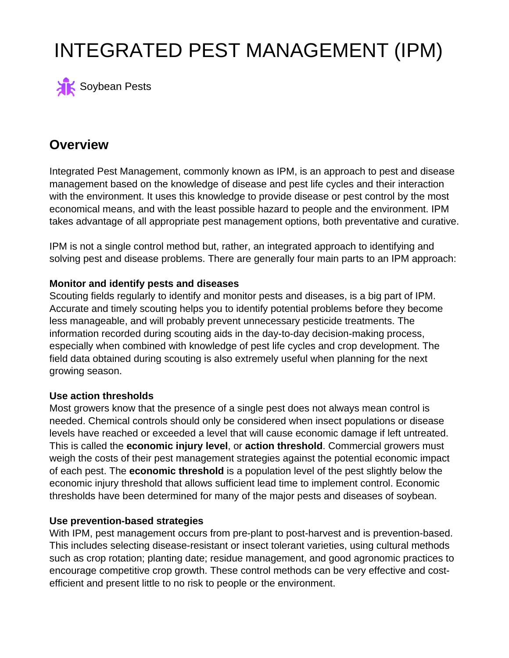# INTEGRATED PEST MANAGEMENT (IPM)



# **Overview**

Integrated Pest Management, commonly known as IPM, is an approach to pest and disease management based on the knowledge of disease and pest life cycles and their interaction with the environment. It uses this knowledge to provide disease or pest control by the most economical means, and with the least possible hazard to people and the environment. IPM takes advantage of all appropriate pest management options, both preventative and curative.

IPM is not a single control method but, rather, an integrated approach to identifying and solving pest and disease problems. There are generally four main parts to an IPM approach:

## **Monitor and identify pests and diseases**

Scouting fields regularly to identify and monitor pests and diseases, is a big part of IPM. Accurate and timely scouting helps you to identify potential problems before they become less manageable, and will probably prevent unnecessary pesticide treatments. The information recorded during scouting aids in the day-to-day decision-making process, especially when combined with knowledge of pest life cycles and crop development. The field data obtained during scouting is also extremely useful when planning for the next growing season.

## **Use action thresholds**

Most growers know that the presence of a single pest does not always mean control is needed. Chemical controls should only be considered when insect populations or disease levels have reached or exceeded a level that will cause economic damage if left untreated. This is called the **economic injury level**, or **action threshold**. Commercial growers must weigh the costs of their pest management strategies against the potential economic impact of each pest. The **economic threshold** is a population level of the pest slightly below the economic injury threshold that allows sufficient lead time to implement control. Economic thresholds have been determined for many of the major pests and diseases of soybean.

#### **Use prevention-based strategies**

With IPM, pest management occurs from pre-plant to post-harvest and is prevention-based. This includes selecting disease-resistant or insect tolerant varieties, using cultural methods such as crop rotation; planting date; residue management, and good agronomic practices to encourage competitive crop growth. These control methods can be very effective and costefficient and present little to no risk to people or the environment.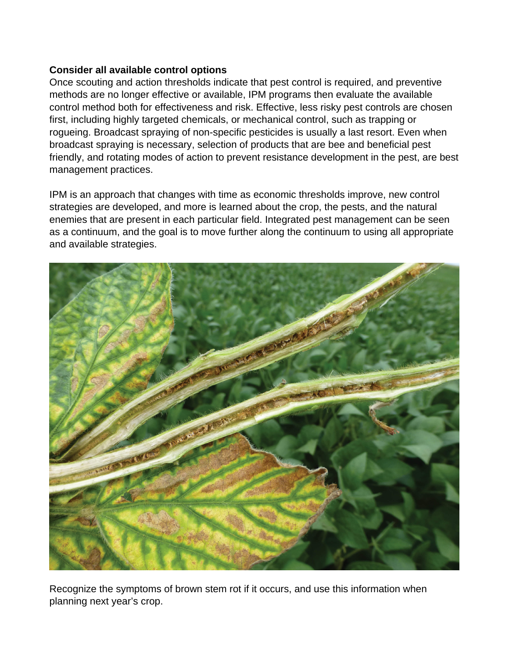#### **Consider all available control options**

Once scouting and action thresholds indicate that pest control is required, and preventive methods are no longer effective or available, IPM programs then evaluate the available control method both for effectiveness and risk. Effective, less risky pest controls are chosen first, including highly targeted chemicals, or mechanical control, such as trapping or rogueing. Broadcast spraying of non-specific pesticides is usually a last resort. Even when broadcast spraying is necessary, selection of products that are bee and beneficial pest friendly, and rotating modes of action to prevent resistance development in the pest, are best management practices.

IPM is an approach that changes with time as economic thresholds improve, new control strategies are developed, and more is learned about the crop, the pests, and the natural enemies that are present in each particular field. Integrated pest management can be seen as a continuum, and the goal is to move further along the continuum to using all appropriate and available strategies.



Recognize the symptoms of brown stem rot if it occurs, and use this information when planning next year's crop.